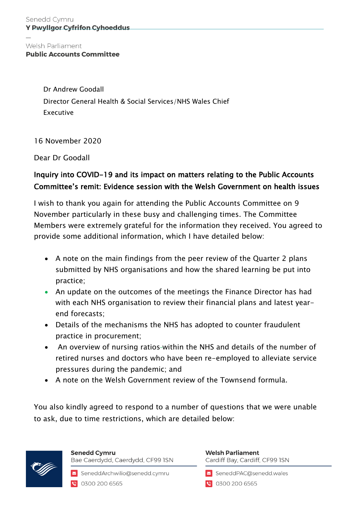## Welsh Parliament **Public Accounts Committee**

Dr Andrew Goodall Director General Health & Social Services/NHS Wales Chief Executive

16 November 2020

Dear Dr Goodall

## Inquiry into COVID-19 and its impact on matters relating to the Public Accounts Committee's remit: Evidence session with the Welsh Government on health issues

I wish to thank you again for attending the Public Accounts Committee on 9 November particularly in these busy and challenging times. The Committee Members were extremely grateful for the information they received. You agreed to provide some additional information, which I have detailed below:

- A note on the main findings from the peer review of the Quarter 2 plans submitted by NHS organisations and how the shared learning be put into practice;
- An update on the outcomes of the meetings the Finance Director has had with each NHS organisation to review their financial plans and latest yearend forecasts;
- Details of the mechanisms the NHS has adopted to counter fraudulent practice in procurement;
- An overview of nursing ratios-within the NHS and details of the number of retired nurses and doctors who have been re-employed to alleviate service pressures during the pandemic; and
- A note on the Welsh Government review of the Townsend formula.

You also kindly agreed to respond to a number of questions that we were unable to ask, due to time restrictions, which are detailed below:



**Senedd Cymru** Bae Caerdydd, Caerdydd, CF99 ISN

SeneddArchwilio@senedd.cymru 0300 200 6565

**Welsh Parliament** Cardiff Bay, Cardiff, CF99 ISN

SeneddPAC@senedd.wales

**@** 0300 200 6565